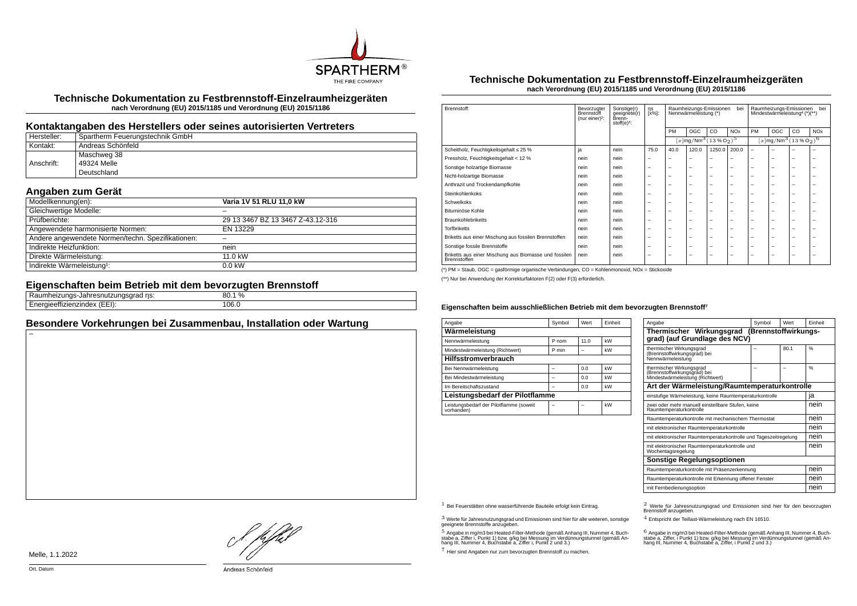

**Technische Dokumentation zu Festbrennstoff-Einzelraumheizgeräten nach Verordnung (EU) 2015/1185 und Verordnung (EU) 2015/1186**

## **Kontaktangaben des Herstellers oder seines autorisierten Vertreters**

| Hersteller: | Spartherm Feuerungstechnik GmbH |
|-------------|---------------------------------|
| Kontakt:    | Andreas Schönfeld               |
|             | Maschweg 38                     |
| Anschrift:  | 49324 Melle                     |
|             | Deutschland                     |

# **Angaben zum Gerät**

| Modellkennung(en):                                | Varia 1V 51 RLU 11,0 kW           |
|---------------------------------------------------|-----------------------------------|
| Gleichwertige Modelle:                            |                                   |
| Prüfberichte:                                     | 29 13 3467 BZ 13 3467 Z-43.12-316 |
| Angewendete harmonisierte Normen:                 | EN 13229                          |
| Andere angewendete Normen/techn. Spezifikationen: |                                   |
| Indirekte Heizfunktion:                           | nein                              |
| Direkte Wärmeleistung:                            | 11.0 kW                           |
| Indirekte Wärmeleistung <sup>1</sup> :            | $0.0$ kW                          |

### **Eigenschaften beim Betrieb mit dem bevorzugten Brennstoff**

| . <b>. .</b> .<br>ns:<br>шев<br>-unus<br>. . 11<br>iau<br>ستاا الكامس<br>-- | 80.1% |
|-----------------------------------------------------------------------------|-------|
| <br>$\sim$ $   -$<br>.<br>:nzinuex<br>.                                     | 106.0 |

# **Besondere Vorkehrungen bei Zusammenbau, Installation oder Wartung**

#### **Technische Dokumentation zu Festbrennstoff-Einzelraumheizgeräten nach Verordnung (EU) 2015/1185 und Verordnung (EU) 2015/1186**

| Brennstoff:                                                           | Bevorzugter<br><b>Brennstoff</b><br>(nur einer) <sup>2</sup> : | Sonstige(r)<br>geeignete(r)<br>Brenn-<br>stoff $(e)^3$ : | ηs<br>$[x\%]$ :          | Raumheizungs-Emissionen<br>bei<br>Nennwärmeleistung (*) |                                                                  |                          | bei<br>Raumheizungs-Emissionen<br>Mindestwärmeleistung <sup>4</sup> (*)(**) |                                                                  |     |     |                       |
|-----------------------------------------------------------------------|----------------------------------------------------------------|----------------------------------------------------------|--------------------------|---------------------------------------------------------|------------------------------------------------------------------|--------------------------|-----------------------------------------------------------------------------|------------------------------------------------------------------|-----|-----|-----------------------|
|                                                                       |                                                                |                                                          |                          | PM                                                      | OGC                                                              | CO                       | <b>NO<sub>x</sub></b>                                                       | PM                                                               | OGC | CO. | <b>NO<sub>x</sub></b> |
|                                                                       |                                                                |                                                          |                          |                                                         | $[x \, \text{mg}/\text{Nm}^3 \, (13\, \text{W} \, \text{O}_2)^5$ |                          |                                                                             | $[x \, \text{mg}/\text{Nm}^3 \, (13\, \text{W} \, \text{O}_2)^6$ |     |     |                       |
| Scheitholz, Feuchtigkeitsgehalt ≤ 25 %                                | ja                                                             | nein                                                     | 75.0                     | 40.0                                                    | 120.0                                                            | 1250.0                   | 200.0                                                                       | $\overline{\phantom{0}}$                                         | -   |     | -                     |
| Pressholz, Feuchtigkeitsgehalt < 12 %                                 | nein                                                           | nein                                                     | -                        | -                                                       | -                                                                | -                        | -                                                                           | -                                                                | -   | -   | -                     |
| Sonstige holzartige Biomasse                                          | nein                                                           | nein                                                     | -                        | -                                                       | -                                                                | -                        | $\overline{\phantom{0}}$                                                    | -                                                                | -   | -   | -                     |
| Nicht-holzartige Biomasse                                             | nein                                                           | nein                                                     | -                        | -                                                       | -                                                                | -                        | $\overline{\phantom{0}}$                                                    | -                                                                | -   | -   | -                     |
| Anthrazit und Trockendampfkohle                                       | nein                                                           | nein                                                     | -                        | -                                                       | -                                                                | -                        | -                                                                           | -                                                                | -   | -   | -                     |
| Steinkohlenkoks                                                       | nein                                                           | nein                                                     | -                        | -                                                       | -                                                                | -                        | $\overline{\phantom{0}}$                                                    | -                                                                | -   | -   | -                     |
| Schwelkoks                                                            | nein                                                           | nein                                                     | $\overline{\phantom{0}}$ | $\overline{\phantom{0}}$                                | -                                                                | $\overline{\phantom{0}}$ | $\overline{\phantom{m}}$                                                    | -                                                                | -   | -   | -                     |
| Bituminöse Kohle                                                      | nein                                                           | nein                                                     | -                        | -                                                       | -                                                                | -                        | $\overline{\phantom{0}}$                                                    | -                                                                | -   | -   | -                     |
| <b>Braunkohlebriketts</b>                                             | nein                                                           | nein                                                     | -                        | $\overline{\phantom{0}}$                                | -                                                                | -                        | $\overline{\phantom{0}}$                                                    | -                                                                | -   | -   | -                     |
| <b>Torfbriketts</b>                                                   | nein                                                           | nein                                                     | -                        | -                                                       | -                                                                | -                        | $\overline{\phantom{0}}$                                                    | -                                                                | -   | -   | ۰                     |
| Briketts aus einer Mischung aus fossilen Brennstoffen                 | nein                                                           | nein                                                     | -                        | $\overline{\phantom{0}}$                                | -                                                                | -                        | $\overline{\phantom{0}}$                                                    | -                                                                | -   | -   | -                     |
| Sonstige fossile Brennstoffe                                          | nein                                                           | nein                                                     | -                        | -                                                       | -                                                                | -                        | $\overline{\phantom{0}}$                                                    | -                                                                | -   | -   | -                     |
| Briketts aus einer Mischung aus Biomasse und fossilen<br>Brennstoffen | nein                                                           | nein                                                     | -                        | -                                                       | -                                                                | -                        | $\overline{\phantom{0}}$                                                    | -                                                                | -   | -   | -                     |

(\*) PM = Staub, OGC = gasförmige organische Verbindungen, CO = Kohlenmonoxid, NOx = Stickoxide

(\*\*) Nur bei Anwendung der Korrekturfaktoren F(2) oder F(3) erforderlich.

#### **Eigenschaften beim ausschließlichen Betrieb mit dem bevorzugten Brennstoff⁷**

| Angabe                                                | Symbol | Wert | Finheit |  |  |  |  |
|-------------------------------------------------------|--------|------|---------|--|--|--|--|
| Wärmeleistung                                         |        |      |         |  |  |  |  |
| Nennwärmeleistung                                     | P nom  | 11.0 | kW      |  |  |  |  |
| Mindestwärmeleistung (Richtwert)                      | P min  |      | kW      |  |  |  |  |
| <b>Hilfsstromverbrauch</b>                            |        |      |         |  |  |  |  |
| Bei Nennwärmeleistung                                 |        | 0.0  | kW      |  |  |  |  |
| Bei Mindestwärmeleistung                              |        | 0.0  | kW      |  |  |  |  |
| Im Bereitschaftszustand                               |        | 0.0  | kW      |  |  |  |  |
| Leistungsbedarf der Pilotflamme                       |        |      |         |  |  |  |  |
| Leistungsbedarf der Pilotflamme (soweit<br>vorhanden) |        |      | kW      |  |  |  |  |

| Angabe                                                                                       | Symbol               | Wert | Finheit       |  |
|----------------------------------------------------------------------------------------------|----------------------|------|---------------|--|
| Thermischer Wirkungsgrad<br>grad) (auf Grundlage des NCV)                                    | (Brennstoffwirkungs- |      |               |  |
| thermischer Wirkungsgrad<br>(Brennstoffwirkungsgrad) bei<br>Nennwärmeleistung                |                      | 80.1 | %             |  |
| thermischer Wirkungsgrad<br>(Brennstoffwirkungsgrad) bei<br>Mindestwärmeleistung (Richtwert) |                      |      | $\frac{0}{6}$ |  |
| Art der Wärmeleistung/Raumtemperaturkontrolle                                                |                      |      |               |  |
| einstufige Wärmeleistung, keine Raumtemperaturkontrolle                                      |                      |      | ja            |  |
| zwei oder mehr manuell einstellbare Stufen, keine<br>Raumtemperaturkontrolle                 |                      |      |               |  |
| Raumtemperaturkontrolle mit mechanischem Thermostat                                          |                      |      |               |  |
| mit elektronischer Raumtemperaturkontrolle                                                   | nein                 |      |               |  |
| mit elektronischer Raumtemperaturkontrolle und Tageszeitregelung                             |                      |      | nein          |  |
| mit elektronischer Raumtemperaturkontrolle und<br>Wochentagsregelung                         |                      |      | nein          |  |
| Sonstige Regelungsoptionen                                                                   |                      |      |               |  |
| Raumtemperaturkontrolle mit Präsenzerkennung                                                 | nein                 |      |               |  |
| Raumtemperaturkontrolle mit Erkennung offener Fenster                                        | nein                 |      |               |  |
| mit Fernbedienungsoption                                                                     |                      |      | nein          |  |

 $3$  Werte für Jahresnutzungsgrad und Emissionen sind hier für alle weiteren, sonstige geeignete Brennstoffe anzugeben.

 $5$  Angabe in mg/m3 bei Heated-Filter-Methode (gemäß Anhang III, Nummer 4, Buchstabe a, Ziffer i, Punkt 1) bzw. g/kg bei Messung im Verdünnungstunnel (gemäß An-hang III, Nummer 4, Buchstabe a, Ziffer i, Punkt 2 und 3.)

7 Hier sind Angaben nur zum bevorzugten Brennstoff zu machen.

1 Bei Feuerstätten ohne wasserführende Bauteile erfolgt kein Eintrag. 2 Werte für Jahresnutzungsgrad und Emissionen sind hier für den bevorzugten Brennstoff anzugeben.

4 Entspricht der Teillast-Wärmeleistung nach EN 16510.

.<br>stabe a, Ziffer, i Punkt 1) bzw. g/kg bei Messung im Verdünnungstunnel (gemäß An-<br>hang III, Nummer 4, Buchstabe a, Ziffer, i Punkt 2 und 3.)<br>hang III, Nummer 4, Buchstabe a, Ziffer, i Punkt 2 und 3.)

Melle, 1.1.2022

}. pfh:/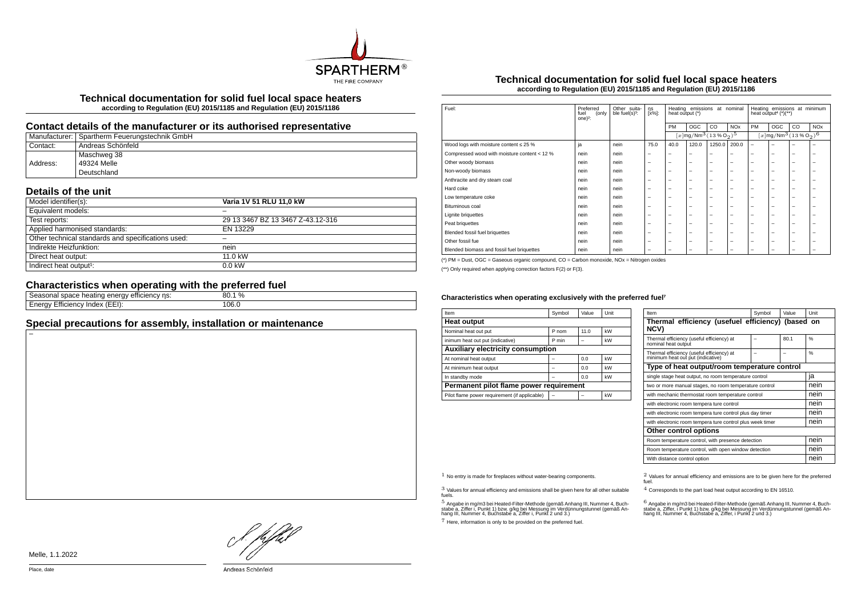

**Technical documentation for solid fuel local space heaters according to Regulation (EU) 2015/1185 and Regulation (EU) 2015/1186**

# **Contact details of the manufacturer or its authorised representative**

|          | Manufacturer:   Spartherm Feuerungstechnik GmbH |
|----------|-------------------------------------------------|
| Contact: | Andreas Schönfeld                               |
|          | Maschweg 38                                     |
| Address: | 49324 Melle                                     |
|          | Deutschland                                     |

# **Details of the unit**

| Model identifier(s):                               | Varia 1V 51 RLU 11,0 kW           |
|----------------------------------------------------|-----------------------------------|
| Equivalent models:                                 |                                   |
| Test reports:                                      | 29 13 3467 BZ 13 3467 Z-43.12-316 |
| Applied harmonised standards:                      | EN 13229                          |
| Other technical standards and specifications used: |                                   |
| Indirekte Heizfunktion:                            | nein                              |
| Direct heat output:                                | 11.0 kW                           |
| Indirect heat output <sup>1</sup> :                | $0.0$ kW                          |

# **Characteristics when operating with the preferred fuel**

| energy<br>efficiency ns:<br>Seasonal space heating | 80.1% |
|----------------------------------------------------|-------|
| $(EEI)$ :<br>Energy<br>' Efficiency Index          | 106.0 |

# **Special precautions for assembly, installation or maintenance**

## **Technical documentation for solid fuel local space heaters according to Regulation (EU) 2015/1185 and Regulation (EU) 2015/1186**

| Fuel:                                        | Preferred<br>(only<br>fuel<br>one $)^2$ : | Other suita-<br>ble fuel(s) <sup>3</sup> : | ηs<br>$[x\%]$ :          | Heating emissions<br>at nominal<br>heat output (*) |                                                                |                          | Heating emissions at minimum<br>heat output <sup>4</sup> $(*)$ <sup>**</sup> ) |                          |                                                              |    |                       |
|----------------------------------------------|-------------------------------------------|--------------------------------------------|--------------------------|----------------------------------------------------|----------------------------------------------------------------|--------------------------|--------------------------------------------------------------------------------|--------------------------|--------------------------------------------------------------|----|-----------------------|
|                                              |                                           |                                            |                          | PM                                                 | OGC                                                            | CO                       | <b>NO<sub>x</sub></b>                                                          | PM                       | OGC                                                          | CO | <b>NO<sub>x</sub></b> |
|                                              |                                           |                                            |                          |                                                    | $[x]$ mg/Nm <sup>3</sup> $(13\%$ O <sub>2</sub> ) <sup>5</sup> |                          |                                                                                |                          | $[x]$ mg/Nm <sup>3</sup> (13 % O <sub>2</sub> ) <sup>6</sup> |    |                       |
| Wood logs with moisture content $\leq 25$ %  | ja                                        | nein                                       | 75.0                     | 40.0                                               | 120.0                                                          | 1250.0                   | 200.0                                                                          | $\overline{\phantom{m}}$ | ۰                                                            | ۰  | -                     |
| Compressed wood with moisture content < 12 % | nein                                      | nein                                       | -                        | -                                                  | -                                                              | -                        | $\overline{\phantom{0}}$                                                       | $\overline{\phantom{0}}$ | -                                                            | -  | -                     |
| Other woody biomass                          | nein                                      | nein                                       | -                        | -                                                  | -                                                              | $\overline{\phantom{0}}$ | $\overline{\phantom{0}}$                                                       | $\overline{\phantom{0}}$ | -                                                            | -  | -                     |
| Non-woody biomass                            | nein                                      | nein                                       | -                        | -                                                  | -                                                              | -                        | $\overline{\phantom{0}}$                                                       | $\overline{\phantom{0}}$ | -                                                            | -  | -                     |
| Anthracite and dry steam coal                | nein                                      | nein                                       | -                        | -                                                  | -                                                              | $\overline{\phantom{0}}$ | $\overline{\phantom{0}}$                                                       | $\overline{\phantom{0}}$ | -                                                            | -  | ۰                     |
| Hard coke                                    | nein                                      | nein                                       | $\overline{\phantom{0}}$ | -                                                  | -                                                              | $\overline{\phantom{m}}$ | $\overline{\phantom{m}}$                                                       | $\overline{\phantom{0}}$ | -                                                            | -  | -                     |
| Low temperature coke                         | nein                                      | nein                                       | -                        | -                                                  | -                                                              | -                        | $\overline{\phantom{0}}$                                                       | $\overline{\phantom{0}}$ | -                                                            | -  | -                     |
| Bituminous coal                              | nein                                      | nein                                       | -                        | -                                                  | -                                                              | -                        | $\overline{\phantom{a}}$                                                       | $\overline{\phantom{0}}$ | -                                                            | -  | ۰                     |
| Lignite briquettes                           | nein                                      | nein                                       | -                        | -                                                  | -                                                              | $\overline{\phantom{0}}$ | $\overline{\phantom{0}}$                                                       | $\overline{\phantom{0}}$ | -                                                            | -  | -                     |
| Peat briquettes                              | nein                                      | nein                                       | -                        | -                                                  | -                                                              | $\overline{\phantom{0}}$ | $\overline{\phantom{0}}$                                                       | $\overline{\phantom{0}}$ | -                                                            | -  | -                     |
| Blended fossil fuel briquettes               | nein                                      | nein                                       | -                        | -                                                  | -                                                              | $\overline{\phantom{0}}$ | $\overline{\phantom{0}}$                                                       | $\overline{\phantom{0}}$ | -                                                            | -  | -                     |
| Other fossil fue                             | nein                                      | nein                                       | $\overline{\phantom{0}}$ | $\overline{\phantom{0}}$                           | $\overline{\phantom{0}}$                                       | $\overline{\phantom{m}}$ | $\overline{\phantom{m}}$                                                       | $\overline{\phantom{0}}$ | $\overline{\phantom{0}}$                                     | -  | -                     |
| Blended biomass and fossil fuel briquettes   | nein                                      | nein                                       |                          | -                                                  | -                                                              | -                        | $\overline{\phantom{0}}$                                                       | $\overline{\phantom{0}}$ | -                                                            | -  | -                     |

(\*) PM = Dust, OGC = Gaseous organic compound, CO = Carbon monoxide, NOx = Nitrogen oxides

(\*\*) Only required when applying correction factors F(2) or F(3).

#### Characteristics when operating exclusively with the preferred fuel<sup>7</sup>

| Item                                          | Symbol | Value | Unit |  |  |  |  |
|-----------------------------------------------|--------|-------|------|--|--|--|--|
| <b>Heat output</b>                            |        |       |      |  |  |  |  |
| Nominal heat out put                          | P nom  | 11.0  | kW   |  |  |  |  |
| inimum heat out put (indicative)              | P min  |       | kW   |  |  |  |  |
| <b>Auxiliary electricity consumption</b>      |        |       |      |  |  |  |  |
| At nominal heat output                        |        | 0.0   | kW   |  |  |  |  |
| At minimum heat output                        |        | 0.0   | kW   |  |  |  |  |
| In standby mode                               |        | 0.0   | kW   |  |  |  |  |
| Permanent pilot flame power requirement       |        |       |      |  |  |  |  |
| Pilot flame power requirement (if applicable) |        |       | kW   |  |  |  |  |

| Item                                                                           | Symbol                                                    | Value | Unit |  |  |  |
|--------------------------------------------------------------------------------|-----------------------------------------------------------|-------|------|--|--|--|
| Thermal efficiency (usefuel efficiency) (based on<br>NCV)                      |                                                           |       |      |  |  |  |
| Thermal efficiency (useful efficiency) at<br>nominal heat output               |                                                           | 80.1  | 0/6  |  |  |  |
| Thermal efficiency (useful efficiency) at<br>minimum heat out put (indicative) |                                                           |       | %    |  |  |  |
| Type of heat output/room temperature control                                   |                                                           |       |      |  |  |  |
| single stage heat output, no room temperature control                          |                                                           |       |      |  |  |  |
| two or more manual stages, no room temperature control                         | nein                                                      |       |      |  |  |  |
| with mechanic thermostat room temperature control                              | nein                                                      |       |      |  |  |  |
| with electronic room tempera ture control                                      |                                                           |       | nein |  |  |  |
| with electronic room tempera ture control plus day timer                       | nein                                                      |       |      |  |  |  |
|                                                                                | with electronic room tempera ture control plus week timer |       |      |  |  |  |
| Other control options                                                          |                                                           |       |      |  |  |  |
| Room temperature control, with presence detection                              | nein                                                      |       |      |  |  |  |
| Room temperature control, with open window detection                           | nein                                                      |       |      |  |  |  |
| With distance control option                                                   |                                                           |       | nein |  |  |  |

3 Values for annual efficiency and emissions shall be given here for all other suitable fuels.

.<br>5 Angabe a, Ziffer i, Punkt 1) bzw. g/kg bei Messung im Verdünnungstunnel (gemäß An-<br>hang III, Nummer 4, Buchstabe a, Ziffer i, Punkt 2 und 3.)<br>hang III, Nummer 4, Buchstabe a, Ziffer i, Punkt 2 und 3.)

7 Here, information is only to be provided on the preferred fuel.

 $1$  No entry is made for fireplaces without water-bearing components.  $2$  Values for annual efficiency and emissions are to be given here for the preferred fuel.

4 Corresponds to the part load heat output according to EN 16510.

.<br>stabe a, Ziffer, i Punkt 1) bzw. g/kg bei Messung im Verdünnungstunner 4, Buch-<br>hang III, Nummer 4, Buchstabe a, Ziffer, i Punkt 2 und 3.)<br>hang III, Nummer 4, Buchstabe a, Ziffer, i Punkt 2 und 3.)

! pfhil

Melle, 1.1.2022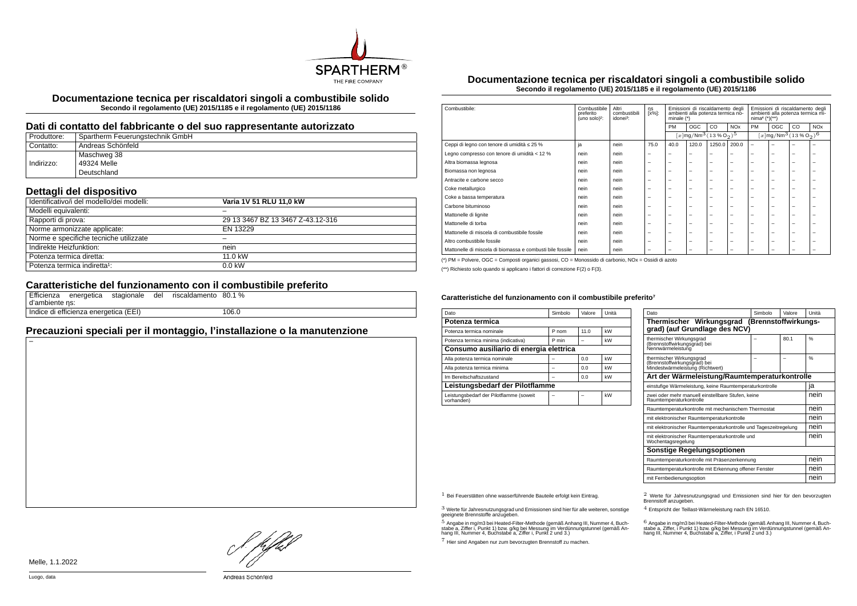

**Documentazione tecnica per riscaldatori singoli a combustibile solido Secondo il regolamento (UE) 2015/1185 e il regolamento (UE) 2015/1186**

#### **Dati di contatto del fabbricante o del suo rappresentante autorizzato**

| Produttore: | Spartherm Feuerungstechnik GmbH |
|-------------|---------------------------------|
| Contatto:   | Andreas Schönfeld               |
|             | Maschweg 38                     |
| Indirizzo:  | 49324 Melle                     |
|             | Deutschland                     |

# **Dettagli del dispositivo**

| Identificativo/i del modello/dei modelli: | Varia 1V 51 RLU 11.0 kW           |
|-------------------------------------------|-----------------------------------|
| Modelli equivalenti:                      |                                   |
| Rapporti di prova:                        | 29 13 3467 BZ 13 3467 Z-43.12-316 |
| Norme armonizzate applicate:              | EN 13229                          |
| Norme e specifiche tecniche utilizzate    |                                   |
| Indirekte Heizfunktion:                   | nein                              |
| Potenza termica diretta:                  | 11.0 kW                           |
| Potenza termica indiretta <sup>1</sup> :  | $0.0$ kW                          |

# **Caratteristiche del funzionamento con il combustibile preferito**

| d'ambiente ns: |                                       | Efficienza energetica stagionale del | riscaldamento 80.1 % |       |  |
|----------------|---------------------------------------|--------------------------------------|----------------------|-------|--|
|                | Indice di efficienza energetica (EEI) |                                      |                      | 106.0 |  |

# **Precauzioni speciali per il montaggio, l'installazione o la manutenzione**

**Documentazione tecnica per riscaldatori singoli a combustibile solido Secondo il regolamento (UE) 2015/1185 e il regolamento (UE) 2015/1186**

| Combustibile:                                             | Altri<br>Combustibile<br>ηs<br>[x%]:<br>combustibili<br>preferito<br>(uno solo) <sup>2</sup> :<br>idonei <sup>3</sup> :<br>minale $(*)$ |      |                          | Emissioni di riscaldamento degli<br>ambienti alla potenza termica no- |                          |                          | Emissioni di riscaldamento degli<br>ambienti alla potenza termica mi-<br>$nima4 (*)(**)$ |                          |                          |                                                           |                       |
|-----------------------------------------------------------|-----------------------------------------------------------------------------------------------------------------------------------------|------|--------------------------|-----------------------------------------------------------------------|--------------------------|--------------------------|------------------------------------------------------------------------------------------|--------------------------|--------------------------|-----------------------------------------------------------|-----------------------|
|                                                           |                                                                                                                                         |      |                          | <b>PM</b>                                                             | <b>OGC</b>               | CO                       | <b>NO<sub>x</sub></b>                                                                    | PM                       | OGC                      | CO                                                        | <b>NO<sub>x</sub></b> |
|                                                           |                                                                                                                                         |      |                          | $[x \, \text{mg}/\text{Nm}^3 (13\,\%\,\text{O}_2)^5]$                 |                          |                          |                                                                                          |                          |                          | $[x \, \text{mg}/\text{Nm}^3 \, (13\, \%\, \text{O}_2)^6$ |                       |
| Ceppi di legno con tenore di umidità ≤ 25 %               | ja                                                                                                                                      | nein | 75.0                     | 40.0                                                                  | 120.0                    | 1250.0                   | 200.0                                                                                    | $\overline{\phantom{0}}$ | $\overline{\phantom{0}}$ | ۰                                                         |                       |
| Legno compresso con tenore di umidità < 12 %              | nein                                                                                                                                    | nein | $\overline{\phantom{m}}$ | $\overline{\phantom{a}}$                                              | $\overline{\phantom{a}}$ | -                        | -                                                                                        | $\overline{\phantom{0}}$ | $\overline{\phantom{0}}$ | $\overline{\phantom{0}}$                                  | -                     |
| Altra biomassa legnosa                                    | nein                                                                                                                                    | nein | $\overline{\phantom{m}}$ | $\overline{\phantom{0}}$                                              | $\overline{\phantom{m}}$ | $\overline{\phantom{0}}$ | $\overline{\phantom{0}}$                                                                 | $\overline{\phantom{0}}$ | $\overline{\phantom{0}}$ | $\overline{\phantom{0}}$                                  | -                     |
| Biomassa non legnosa                                      | nein                                                                                                                                    | nein | $\overline{\phantom{0}}$ | $\overline{\phantom{0}}$                                              | $\overline{\phantom{0}}$ | -                        | -                                                                                        | $\overline{\phantom{a}}$ | $\overline{\phantom{0}}$ | -                                                         | -                     |
| Antracite e carbone secco                                 | nein                                                                                                                                    | nein | $\overline{\phantom{0}}$ | $\overline{\phantom{a}}$                                              | $\overline{\phantom{a}}$ | -                        | -                                                                                        | -                        | -                        | -                                                         |                       |
| Coke metallurgico                                         | nein                                                                                                                                    | nein | $\overline{\phantom{0}}$ | $\overline{\phantom{0}}$                                              | $\overline{\phantom{a}}$ | -                        | -                                                                                        | -                        | $\overline{\phantom{0}}$ | -                                                         |                       |
| Coke a bassa temperatura                                  | nein                                                                                                                                    | nein | $\overline{\phantom{0}}$ | $\overline{\phantom{0}}$                                              | $\overline{\phantom{0}}$ | -                        | -                                                                                        | $\overline{\phantom{0}}$ |                          | -                                                         | -                     |
| Carbone bituminoso                                        | nein                                                                                                                                    | nein | $\overline{\phantom{0}}$ | $\overline{\phantom{0}}$                                              | $\overline{\phantom{0}}$ | -                        | -                                                                                        | -                        | $\overline{\phantom{0}}$ | -                                                         |                       |
| Mattonelle di lignite                                     | nein                                                                                                                                    | nein | -                        | -                                                                     | $\overline{\phantom{a}}$ | -                        | -                                                                                        | -                        | $\overline{\phantom{0}}$ | ۰                                                         |                       |
| Mattonelle di torba                                       | nein                                                                                                                                    | nein | $\overline{\phantom{0}}$ | $\overline{\phantom{0}}$                                              | $\overline{\phantom{a}}$ | -                        | -                                                                                        | -                        | -                        | -                                                         |                       |
| Mattonelle di miscela di combustibile fossile             | nein                                                                                                                                    | nein | $\overline{\phantom{0}}$ | $\overline{\phantom{0}}$                                              | $\overline{\phantom{a}}$ | -                        | -                                                                                        | -                        | $\overline{\phantom{0}}$ | -                                                         |                       |
| Altro combustibile fossile                                | nein                                                                                                                                    | nein | $\overline{\phantom{0}}$ | $\overline{\phantom{0}}$                                              | $\overline{\phantom{0}}$ | -                        | -                                                                                        | $\overline{\phantom{a}}$ | -                        | -                                                         |                       |
| Mattonelle di miscela di biomassa e combusti bile fossile | nein                                                                                                                                    | nein | $\overline{\phantom{0}}$ | -                                                                     | -                        | -                        | -                                                                                        | -                        | -                        | -                                                         |                       |

(\*) PM = Polvere, OGC = Composti organici gassosi, CO = Monossido di carbonio, NOx = Ossidi di azoto

(\*\*) Richiesto solo quando si applicano i fattori di correzione F(2) o F(3).

#### Caratteristiche del funzionamento con il combustibile preferito<sup>7</sup>

| Dato                                                  | Simbolo | Valore | Unità |  |  |  |
|-------------------------------------------------------|---------|--------|-------|--|--|--|
| Potenza termica                                       |         |        |       |  |  |  |
| Potenza termica nominale                              | P nom   | 11.0   | kW    |  |  |  |
| Potenza termica minima (indicativa)                   | P min   |        | kW    |  |  |  |
| Consumo ausiliario di energia elettrica               |         |        |       |  |  |  |
| Alla potenza termica nominale                         |         | 0.0    | kW    |  |  |  |
| Alla potenza termica minima                           |         | 0.0    | kW    |  |  |  |
| Im Bereitschaftszustand                               |         | 0.0    | kW    |  |  |  |
| Leistungsbedarf der Pilotflamme                       |         |        |       |  |  |  |
| Leistungsbedarf der Pilotflamme (soweit<br>vorhanden) |         |        | kW    |  |  |  |

| Dato                                                                                         | Simbolo                                               | Valore | Unità |  |  |  |  |  |
|----------------------------------------------------------------------------------------------|-------------------------------------------------------|--------|-------|--|--|--|--|--|
| Thermischer Wirkungsgrad                                                                     | (Brennstoffwirkungs-<br>grad) (auf Grundlage des NCV) |        |       |  |  |  |  |  |
| thermischer Wirkungsgrad<br>(Brennstoffwirkungsgrad) bei<br>Nennwärmeleistung                |                                                       | 80.1   | %     |  |  |  |  |  |
| thermischer Wirkungsgrad<br>(Brennstoffwirkungsgrad) bei<br>Mindestwärmeleistung (Richtwert) |                                                       |        | 0/6   |  |  |  |  |  |
| Art der Wärmeleistung/Raumtemperaturkontrolle                                                |                                                       |        |       |  |  |  |  |  |
| einstufige Wärmeleistung, keine Raumtemperaturkontrolle                                      |                                                       |        | ia    |  |  |  |  |  |
| zwei oder mehr manuell einstellbare Stufen, keine<br>Raumtemperaturkontrolle                 |                                                       |        |       |  |  |  |  |  |
| Raumtemperaturkontrolle mit mechanischem Thermostat                                          |                                                       |        | nein  |  |  |  |  |  |
| mit elektronischer Raumtemperaturkontrolle                                                   |                                                       |        | nein  |  |  |  |  |  |
| mit elektronischer Raumtemperaturkontrolle und Tageszeitregelung                             |                                                       |        | nein  |  |  |  |  |  |
| mit elektronischer Raumtemperaturkontrolle und<br>Wochentagsregelung                         |                                                       |        | nein  |  |  |  |  |  |
| <b>Sonstige Regelungsoptionen</b>                                                            |                                                       |        |       |  |  |  |  |  |
| Raumtemperaturkontrolle mit Präsenzerkennung                                                 |                                                       |        | nein  |  |  |  |  |  |
| Raumtemperaturkontrolle mit Erkennung offener Fenster                                        |                                                       |        | nein  |  |  |  |  |  |
| mit Fernbedienungsoption                                                                     |                                                       |        | nein  |  |  |  |  |  |

3 Werte für Jahresnutzungsgrad und Emissionen sind hier für alle weiteren, sonstige geeignete Brennstoffe anzugeben.

.<br>5 Angabe in mg/m3 bei Heated-Filter-Methode (gemäß Anhang III, Nummer 4, Buch-<br>stabe a, Ziffer i, Punkt 1) bzw. g/kg bei Nessung im Verdünnungstunnel (gemäß An-<br>hang III, Nummer 4, Buchstabe a, Ziffer i, Punkt 2 und 3.)

7 Hier sind Angaben nur zum bevorzugten Brennstoff zu machen.

1 Bei Feuerstätten ohne wasserführende Bauteile erfolgt kein Eintrag. 2 Werte für Jahresnutzungsgrad und Emissionen sind hier für den bevorzugten Brennstoff anzugeben.

4 Entspricht der Teillast-Wärmeleistung nach EN 16510.

.<br>stabe a, Ziffer, i Punkt 1) bzw. g/kg bei Messung im Verdünnungstunnel (gemäß An-<br>hang III, Nummer 4, Buchstabe a, Ziffer, i Punkt 2 und 3.)<br>hang III, Nummer 4, Buchstabe a, Ziffer, i Punkt 2 und 3.)

Melle, 1.1.2022